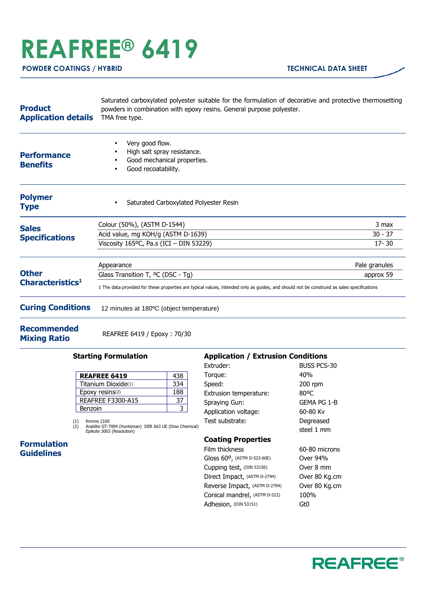# **REAFREE® 6419**

| <b>Product</b><br><b>Application details</b> | Saturated carboxylated polyester suitable for the formulation of decorative and protective thermosetting<br>powders in combination with epoxy resins. General purpose polyester.<br>TMA free type.       |                                 |
|----------------------------------------------|----------------------------------------------------------------------------------------------------------------------------------------------------------------------------------------------------------|---------------------------------|
| <b>Performance</b><br><b>Benefits</b>        | Very good flow.<br>٠<br>High salt spray resistance.<br>Good mechanical properties.<br>Good recoatability.<br>٠                                                                                           |                                 |
| <b>Polymer</b><br><b>Type</b>                | Saturated Carboxylated Polyester Resin<br>$\bullet$                                                                                                                                                      |                                 |
| <b>Sales</b><br><b>Specifications</b>        | Colour (50%), (ASTM D-1544)<br>Acid value, mg KOH/g (ASTM D-1639)<br>Viscosity 165°C, Pa.s (ICI - DIN 53229)                                                                                             | 3 max<br>$30 - 37$<br>$17 - 30$ |
| <b>Other</b><br>Characteristics <sup>1</sup> | Appearance<br>Glass Transition T, <sup>o</sup> C (DSC - Tg)<br>1 The data provided for these properties are typical values, intended only as quides, and should not be construed as sales specifications | Pale granules<br>approx 59      |
| <b>Curing Conditions</b>                     | 12 minutes at 180°C (object temperature)                                                                                                                                                                 |                                 |

**Recommended Mixing Ratio** REAFREE 6419 / Epoxy : 70/30

#### **Starting Formulation**

| <b>REAFREE 6419</b>      | 438 |
|--------------------------|-----|
| Titanium Dioxide(1)      | 334 |
| Epoxy resins(2)          | 188 |
| <b>REAFREE F3300-A15</b> |     |
| Benzoin                  |     |

(1) Kronos 2160 (2) Araldite GT-7004 (Huntsman) DER 663 UE (Dow Chemical) Epikote 3003 (Resolution)

### **Formulation Guidelines**

## **Application / Extrusion Conditions**

| Extruder:                                | BUSS PCS-30   |
|------------------------------------------|---------------|
| Torque:                                  | 40%           |
| Speed:                                   | $200$ rpm     |
| Extrusion temperature:                   | 80°C          |
| Spraying Gun:                            | GEMA PG 1-B   |
| Application voltage:                     | 60-80 Kv      |
| Test substrate:                          | Degreased     |
|                                          | steel 1 mm    |
| <b>Coating Properties</b>                |               |
| Film thickness                           | 60-80 microns |
| Gloss 60 <sup>o</sup> , (ASTM D-523-60E) | Over 94%      |
| Cupping test, (DIN 53156)                | Over 8 mm     |
| Direct Impact, (ASTM D-2794)             | Over 80 Kg.cm |
|                                          |               |

Reverse Impact, (ASTM D-2794) Over 80 Kg.cm Conical mandrel, (ASTM D-522) 100% Adhesion, (DIN 53151) **Gt0**